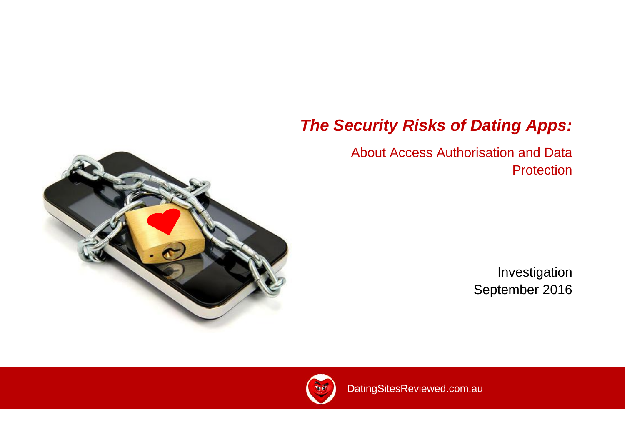# *The Security Risks of Dating Apps:*

# About Access Authorisation and Data **Protection**

Investigation September 2016

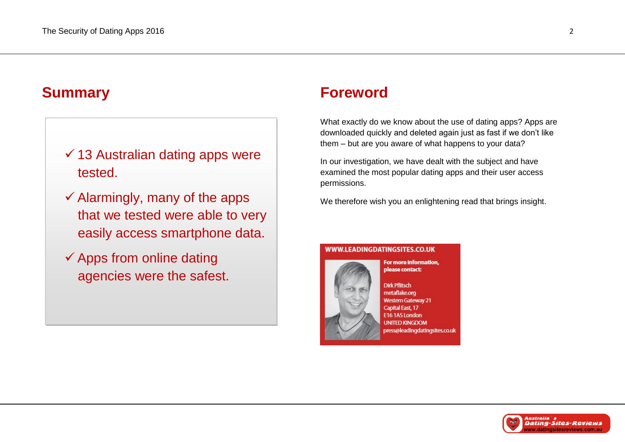# $\checkmark$  13 Australian dating apps were tested.

- $\checkmark$  Alarmingly, many of the apps that we tested were able to very easily access smartphone data.
- $\checkmark$  Apps from online dating agencies were the safest.

# **Summary Foreword**

What exactly do we know about the use of dating apps? Apps are downloaded quickly and deleted again just as fast if we don't like them – but are you aware of what happens to your data?

In our investigation, we have dealt with the subject and have examined the most popular dating apps and their user access permissions.

We therefore wish you an enlightening read that brings insight.

#### WWW.LEADINGDATINGSITES.CO.UK



For more information. please contact:

**Dirk Pflitsch** metaflake.org **Western Gateway 21 Capital East, 17** E16 1AS London **UNITED KINGDOM** press@leadingdatingsites.co.uk

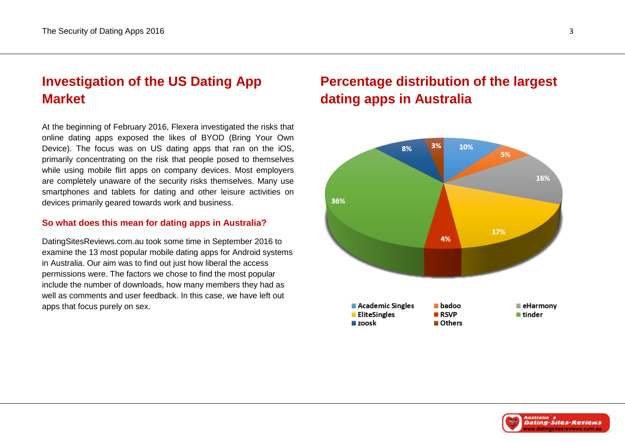# **Investigation of the US Dating App Market**

At the beginning of February 2016, Flexera investigated the risks that online dating apps exposed the likes of BYOD (Bring Your Own Device). The focus was on US dating apps that ran on the iOS, primarily concentrating on the risk that people posed to themselves while using mobile flirt apps on company devices. Most employers are completely unaware of the security risks themselves. Many use smartphones and tablets for dating and other leisure activities on devices primarily geared towards work and business.

#### **So what does this mean for dating apps in Australia?**

DatingSitesReviews.com.au took some time in September 2016 to examine the 13 most popular mobile dating apps for Android systems in Australia. Our aim was to find out just how liberal the access permissions were. The factors we chose to find the most popular include the number of downloads, how many members they had as well as comments and user feedback. In this case, we have left out apps that focus purely on sex.

# **Percentage distribution of the largest dating apps in Australia**



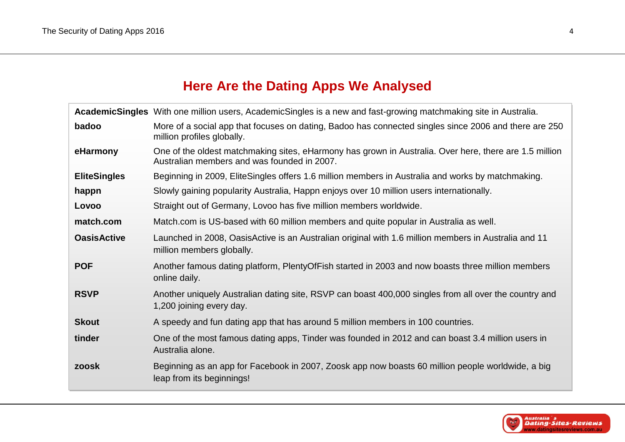### **Here Are the Dating Apps We Analysed**

|                     | AcademicSingles With one million users, AcademicSingles is a new and fast-growing matchmaking site in Australia.                                      |
|---------------------|-------------------------------------------------------------------------------------------------------------------------------------------------------|
| badoo               | More of a social app that focuses on dating, Badoo has connected singles since 2006 and there are 250<br>million profiles globally.                   |
| eHarmony            | One of the oldest matchmaking sites, eHarmony has grown in Australia. Over here, there are 1.5 million<br>Australian members and was founded in 2007. |
| <b>EliteSingles</b> | Beginning in 2009, EliteSingles offers 1.6 million members in Australia and works by matchmaking.                                                     |
| happn               | Slowly gaining popularity Australia, Happn enjoys over 10 million users internationally.                                                              |
| Lovoo               | Straight out of Germany, Lovoo has five million members worldwide.                                                                                    |
| match.com           | Match.com is US-based with 60 million members and quite popular in Australia as well.                                                                 |
| <b>OasisActive</b>  | Launched in 2008, OasisActive is an Australian original with 1.6 million members in Australia and 11<br>million members globally.                     |
| <b>POF</b>          | Another famous dating platform, PlentyOfFish started in 2003 and now boasts three million members<br>online daily.                                    |
| <b>RSVP</b>         | Another uniquely Australian dating site, RSVP can boast 400,000 singles from all over the country and<br>1,200 joining every day.                     |
| <b>Skout</b>        | A speedy and fun dating app that has around 5 million members in 100 countries.                                                                       |
| tinder              | One of the most famous dating apps, Tinder was founded in 2012 and can boast 3.4 million users in<br>Australia alone.                                 |
| zoosk               | Beginning as an app for Facebook in 2007, Zoosk app now boasts 60 million people worldwide, a big<br>leap from its beginnings!                        |

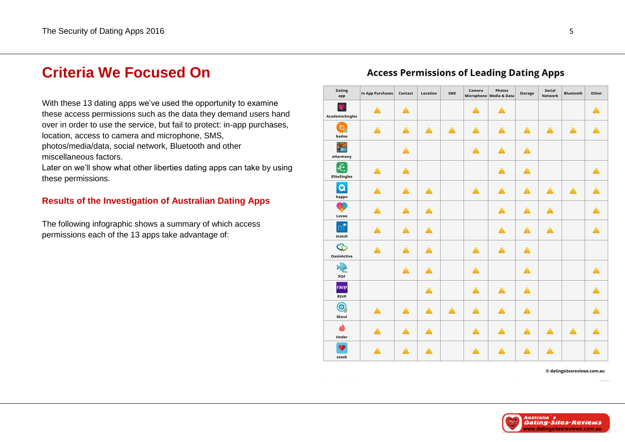### **Criteria We Focused On**

With these 13 dating apps we've used the opportunity to examine these access permissions such as the data they demand users hand over in order to use the service, but fail to protect: in -app purchases, location, access to camera and microphone, SMS,

photos/media/data, social network, Bluetooth and other miscellaneous factors.

Later on we'll show what other liberties dating apps can take by using these permissions.

### **Results of the Investigation of Australian Dating Apps**

The following infographic shows a summary of which access permissions each of the 13 apps take advantage of:

### **Access Permissions of Leading Dating Apps**



© datingsitesreviews.com.au

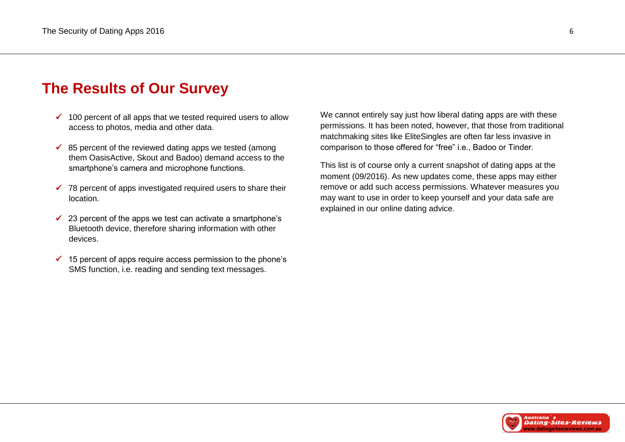# **The Results of Our Survey**

- $\checkmark$  100 percent of all apps that we tested required users to allow access to photos, media and other data.
- $\checkmark$  85 percent of the reviewed dating apps we tested (among them OasisActive, Skout and Badoo) demand access to the smartphone's camera and microphone functions.
- $\checkmark$  78 percent of apps investigated required users to share their location.
- $\checkmark$  23 percent of the apps we test can activate a smartphone's Bluetooth device, therefore sharing information with other devices.
- $\checkmark$  15 percent of apps require access permission to the phone's SMS function, i.e. reading and sending text messages.

We cannot entirely say just how liberal dating apps are with these permissions. It has been noted, however, that those from traditional matchmaking sites like EliteSingles are often far less invasive in comparison to those offered for "free" i.e., Badoo or Tinder.

This list is of course only a current snapshot of dating apps at the moment (09/2016). As new updates come, these apps may either remove or add such access permissions. Whatever measures you may want to use in order to keep yourself and your data safe are explained in our online dating advice.

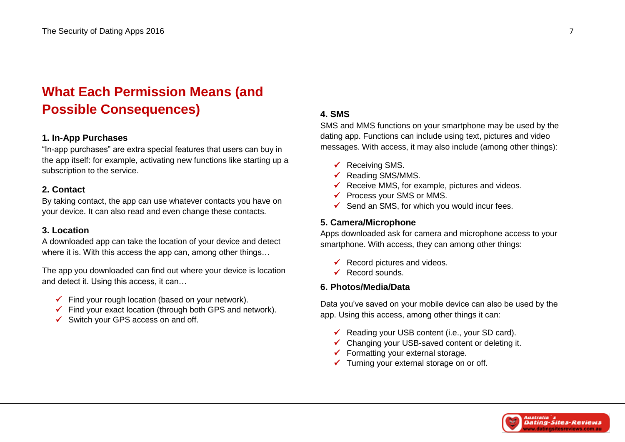# **What Each Permission Means (and Possible Consequences)**

#### **1. In-App Purchases**

"In-app purchases" are extra special features that users can buy in the app itself: for example, activating new functions like starting up a subscription to the service.

#### **2. Contact**

By taking contact, the app can use whatever contacts you have on your device. It can also read and even change these contacts.

#### **3. Location**

A downloaded app can take the location of your device and detect where it is. With this access the app can, among other things…

The app you downloaded can find out where your device is location and detect it. Using this access, it can…

- $\checkmark$  Find your rough location (based on your network).
- $\checkmark$  Find your exact location (through both GPS and network).
- $\checkmark$  Switch your GPS access on and off.

### **4. SMS**

SMS and MMS functions on your smartphone may be used by the dating app. Functions can include using text, pictures and video messages. With access, it may also include (among other things):

- $\checkmark$  Receiving SMS.
- $\checkmark$  Reading SMS/MMS.
- $\checkmark$  Receive MMS, for example, pictures and videos.
- $\checkmark$  Process your SMS or MMS.
- $\checkmark$  Send an SMS, for which you would incur fees.

#### **5. Camera/Microphone**

Apps downloaded ask for camera and microphone access to your smartphone. With access, they can among other things:

- $\checkmark$  Record pictures and videos.
- Record sounds.

### **6. Photos/Media/Data**

Data you've saved on your mobile device can also be used by the app. Using this access, among other things it can:

- $\checkmark$  Reading your USB content (i.e., your SD card).
- $\checkmark$  Changing your USB-saved content or deleting it.
- $\checkmark$  Formatting your external storage.
- $\checkmark$  Turning your external storage on or off.

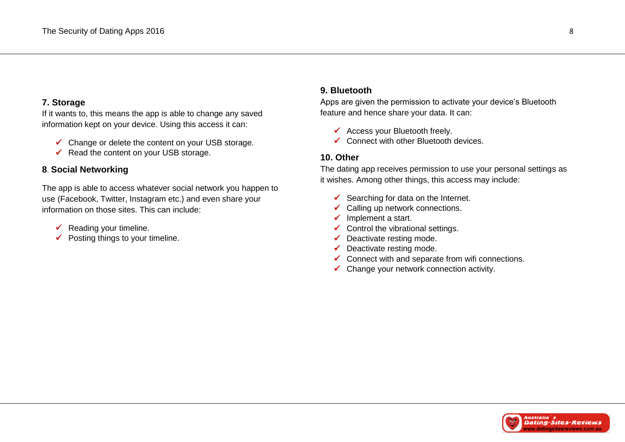### **7. Storage**

If it wants to, this means the app is able to change any saved information kept on your device. Using this access it can:

- $\checkmark$  Change or delete the content on your USB storage.
- $\checkmark$  Read the content on your USB storage.

### **8**. **Social Networking**

The app is able to access whatever social network you happen to use (Facebook, Twitter, Instagram etc.) and even share your information on those sites. This can include:

- Reading your timeline.
- $\checkmark$  Posting things to your timeline.

### **9. Bluetooth**

Apps are given the permission to activate your device's Bluetooth feature and hence share your data. It can:

- $\checkmark$  Access your Bluetooth freely.
- $\checkmark$  Connect with other Bluetooth devices.

### **10. Other**

The dating app receives permission to use your personal settings as it wishes. Among other things, this access may include:

- $\checkmark$  Searching for data on the Internet.
- $\checkmark$  Calling up network connections.
- $\checkmark$  Implement a start.
- $\checkmark$  Control the vibrational settings.
- $\checkmark$  Deactivate resting mode.
- $\checkmark$  Deactivate resting mode.
- $\checkmark$  Connect with and separate from wifi connections.
- $\checkmark$  Change your network connection activity.